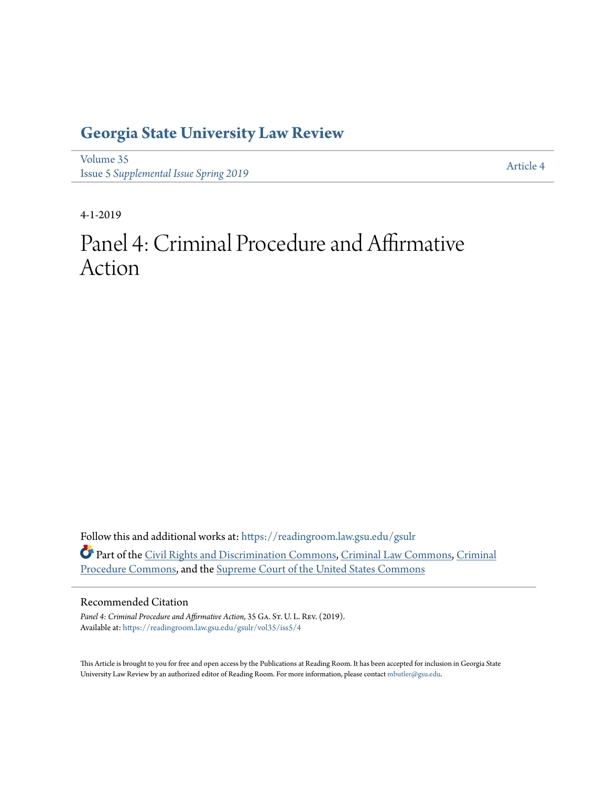## **[Georgia State University Law Review](https://readingroom.law.gsu.edu/gsulr?utm_source=readingroom.law.gsu.edu%2Fgsulr%2Fvol35%2Fiss5%2F4&utm_medium=PDF&utm_campaign=PDFCoverPages)**

[Volume 35](https://readingroom.law.gsu.edu/gsulr/vol35?utm_source=readingroom.law.gsu.edu%2Fgsulr%2Fvol35%2Fiss5%2F4&utm_medium=PDF&utm_campaign=PDFCoverPages) **Issue 5** *[Supplemental Issue Spring 2019](https://readingroom.law.gsu.edu/gsulr/vol35/iss5?utm_source=readingroom.law.gsu.edu%2Fgsulr%2Fvol35%2Fiss5%2F4&utm_medium=PDF&utm_campaign=PDFCoverPages)* [Article 4](https://readingroom.law.gsu.edu/gsulr/vol35/iss5/4?utm_source=readingroom.law.gsu.edu%2Fgsulr%2Fvol35%2Fiss5%2F4&utm_medium=PDF&utm_campaign=PDFCoverPages)

4-1-2019

# Panel 4: Criminal Procedure and Affirmative Action

Follow this and additional works at: [https://readingroom.law.gsu.edu/gsulr](https://readingroom.law.gsu.edu/gsulr?utm_source=readingroom.law.gsu.edu%2Fgsulr%2Fvol35%2Fiss5%2F4&utm_medium=PDF&utm_campaign=PDFCoverPages) Part of the [Civil Rights and Discrimination Commons,](http://network.bepress.com/hgg/discipline/585?utm_source=readingroom.law.gsu.edu%2Fgsulr%2Fvol35%2Fiss5%2F4&utm_medium=PDF&utm_campaign=PDFCoverPages) [Criminal Law Commons](http://network.bepress.com/hgg/discipline/912?utm_source=readingroom.law.gsu.edu%2Fgsulr%2Fvol35%2Fiss5%2F4&utm_medium=PDF&utm_campaign=PDFCoverPages), [Criminal](http://network.bepress.com/hgg/discipline/1073?utm_source=readingroom.law.gsu.edu%2Fgsulr%2Fvol35%2Fiss5%2F4&utm_medium=PDF&utm_campaign=PDFCoverPages) [Procedure Commons](http://network.bepress.com/hgg/discipline/1073?utm_source=readingroom.law.gsu.edu%2Fgsulr%2Fvol35%2Fiss5%2F4&utm_medium=PDF&utm_campaign=PDFCoverPages), and the [Supreme Court of the United States Commons](http://network.bepress.com/hgg/discipline/1350?utm_source=readingroom.law.gsu.edu%2Fgsulr%2Fvol35%2Fiss5%2F4&utm_medium=PDF&utm_campaign=PDFCoverPages)

### Recommended Citation

Panel 4: Criminal Procedure and Affirmative Action, 35 GA. ST. U. L. REV. (2019). Available at: [https://readingroom.law.gsu.edu/gsulr/vol35/iss5/4](https://readingroom.law.gsu.edu/gsulr/vol35/iss5/4?utm_source=readingroom.law.gsu.edu%2Fgsulr%2Fvol35%2Fiss5%2F4&utm_medium=PDF&utm_campaign=PDFCoverPages)

This Article is brought to you for free and open access by the Publications at Reading Room. It has been accepted for inclusion in Georgia State University Law Review by an authorized editor of Reading Room. For more information, please contact [mbutler@gsu.edu.](mailto:mbutler@gsu.edu)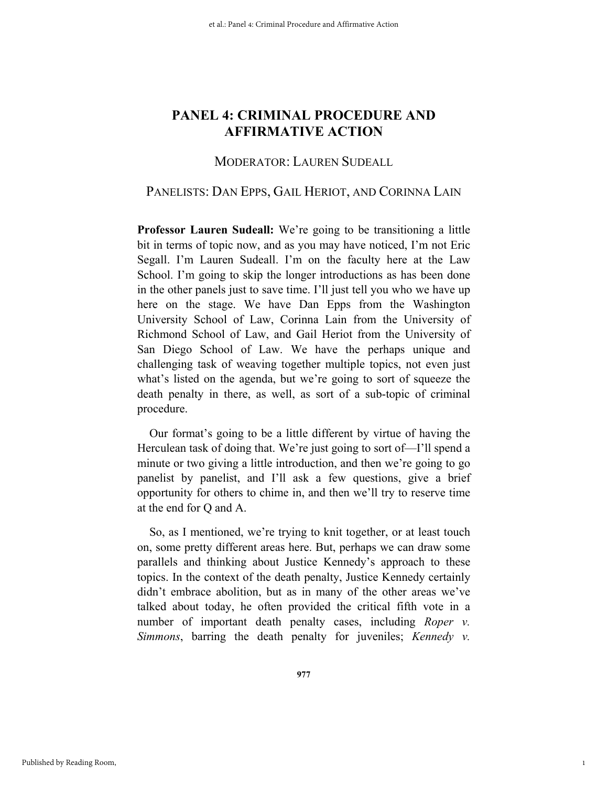## MODERATOR: LAUREN SUDEALL

## PANELISTS: DAN EPPS, GAIL HERIOT, AND CORINNA LAIN

**Professor Lauren Sudeall:** We're going to be transitioning a little bit in terms of topic now, and as you may have noticed, I'm not Eric Segall. I'm Lauren Sudeall. I'm on the faculty here at the Law School. I'm going to skip the longer introductions as has been done in the other panels just to save time. I'll just tell you who we have up here on the stage. We have Dan Epps from the Washington University School of Law, Corinna Lain from the University of Richmond School of Law, and Gail Heriot from the University of San Diego School of Law. We have the perhaps unique and challenging task of weaving together multiple topics, not even just what's listed on the agenda, but we're going to sort of squeeze the death penalty in there, as well, as sort of a sub-topic of criminal procedure.

Our format's going to be a little different by virtue of having the Herculean task of doing that. We're just going to sort of—I'll spend a minute or two giving a little introduction, and then we're going to go panelist by panelist, and I'll ask a few questions, give a brief opportunity for others to chime in, and then we'll try to reserve time at the end for Q and A.

So, as I mentioned, we're trying to knit together, or at least touch on, some pretty different areas here. But, perhaps we can draw some parallels and thinking about Justice Kennedy's approach to these topics. In the context of the death penalty, Justice Kennedy certainly didn't embrace abolition, but as in many of the other areas we've talked about today, he often provided the critical fifth vote in a number of important death penalty cases, including *Roper v. Simmons*, barring the death penalty for juveniles; *Kennedy v.* 

1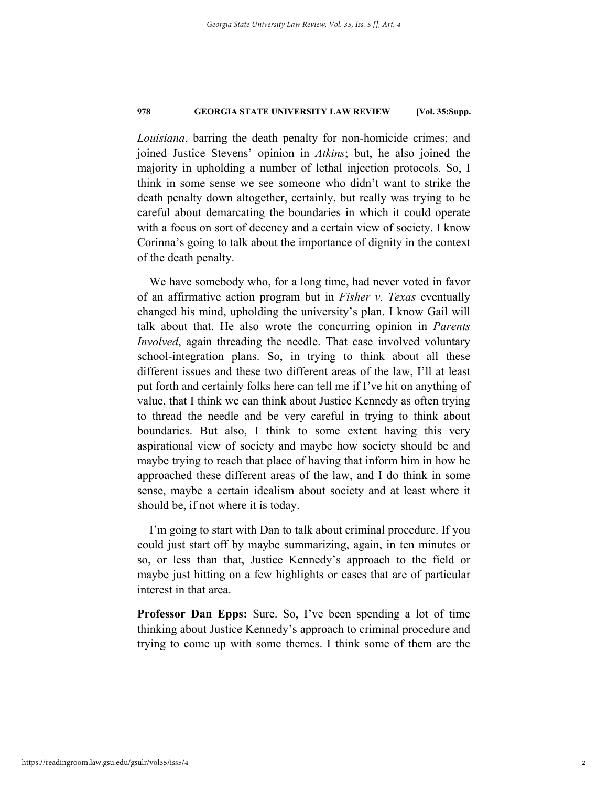*Louisiana*, barring the death penalty for non-homicide crimes; and joined Justice Stevens' opinion in *Atkins*; but, he also joined the majority in upholding a number of lethal injection protocols. So, I think in some sense we see someone who didn't want to strike the death penalty down altogether, certainly, but really was trying to be careful about demarcating the boundaries in which it could operate with a focus on sort of decency and a certain view of society. I know Corinna's going to talk about the importance of dignity in the context of the death penalty.

We have somebody who, for a long time, had never voted in favor of an affirmative action program but in *Fisher v. Texas* eventually changed his mind, upholding the university's plan. I know Gail will talk about that. He also wrote the concurring opinion in *Parents Involved*, again threading the needle. That case involved voluntary school-integration plans. So, in trying to think about all these different issues and these two different areas of the law, I'll at least put forth and certainly folks here can tell me if I've hit on anything of value, that I think we can think about Justice Kennedy as often trying to thread the needle and be very careful in trying to think about boundaries. But also, I think to some extent having this very aspirational view of society and maybe how society should be and maybe trying to reach that place of having that inform him in how he approached these different areas of the law, and I do think in some sense, maybe a certain idealism about society and at least where it should be, if not where it is today.

I'm going to start with Dan to talk about criminal procedure. If you could just start off by maybe summarizing, again, in ten minutes or so, or less than that, Justice Kennedy's approach to the field or maybe just hitting on a few highlights or cases that are of particular interest in that area.

**Professor Dan Epps:** Sure. So, I've been spending a lot of time thinking about Justice Kennedy's approach to criminal procedure and trying to come up with some themes. I think some of them are the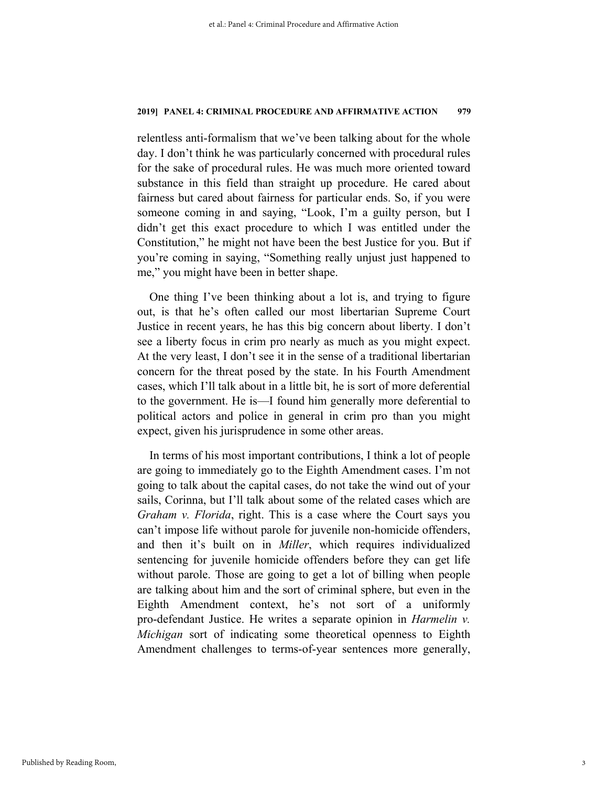relentless anti-formalism that we've been talking about for the whole day. I don't think he was particularly concerned with procedural rules for the sake of procedural rules. He was much more oriented toward substance in this field than straight up procedure. He cared about fairness but cared about fairness for particular ends. So, if you were someone coming in and saying, "Look, I'm a guilty person, but I didn't get this exact procedure to which I was entitled under the Constitution," he might not have been the best Justice for you. But if you're coming in saying, "Something really unjust just happened to me," you might have been in better shape.

One thing I've been thinking about a lot is, and trying to figure out, is that he's often called our most libertarian Supreme Court Justice in recent years, he has this big concern about liberty. I don't see a liberty focus in crim pro nearly as much as you might expect. At the very least, I don't see it in the sense of a traditional libertarian concern for the threat posed by the state. In his Fourth Amendment cases, which I'll talk about in a little bit, he is sort of more deferential to the government. He is—I found him generally more deferential to political actors and police in general in crim pro than you might expect, given his jurisprudence in some other areas.

In terms of his most important contributions, I think a lot of people are going to immediately go to the Eighth Amendment cases. I'm not going to talk about the capital cases, do not take the wind out of your sails, Corinna, but I'll talk about some of the related cases which are *Graham v. Florida*, right. This is a case where the Court says you can't impose life without parole for juvenile non-homicide offenders, and then it's built on in *Miller*, which requires individualized sentencing for juvenile homicide offenders before they can get life without parole. Those are going to get a lot of billing when people are talking about him and the sort of criminal sphere, but even in the Eighth Amendment context, he's not sort of a uniformly pro-defendant Justice. He writes a separate opinion in *Harmelin v. Michigan* sort of indicating some theoretical openness to Eighth Amendment challenges to terms-of-year sentences more generally,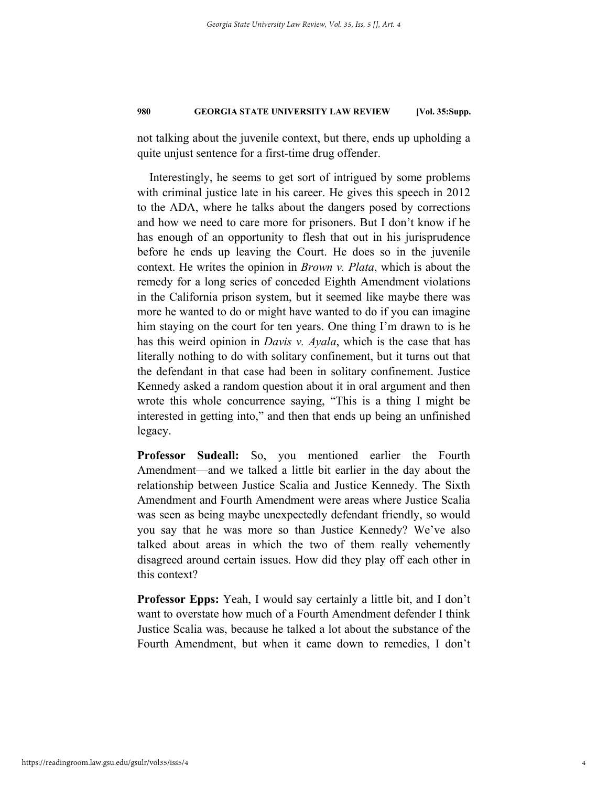not talking about the juvenile context, but there, ends up upholding a quite unjust sentence for a first-time drug offender.

Interestingly, he seems to get sort of intrigued by some problems with criminal justice late in his career. He gives this speech in 2012 to the ADA, where he talks about the dangers posed by corrections and how we need to care more for prisoners. But I don't know if he has enough of an opportunity to flesh that out in his jurisprudence before he ends up leaving the Court. He does so in the juvenile context. He writes the opinion in *Brown v. Plata*, which is about the remedy for a long series of conceded Eighth Amendment violations in the California prison system, but it seemed like maybe there was more he wanted to do or might have wanted to do if you can imagine him staying on the court for ten years. One thing I'm drawn to is he has this weird opinion in *Davis v. Ayala*, which is the case that has literally nothing to do with solitary confinement, but it turns out that the defendant in that case had been in solitary confinement. Justice Kennedy asked a random question about it in oral argument and then wrote this whole concurrence saying, "This is a thing I might be interested in getting into," and then that ends up being an unfinished legacy.

**Professor Sudeall:** So, you mentioned earlier the Fourth Amendment—and we talked a little bit earlier in the day about the relationship between Justice Scalia and Justice Kennedy. The Sixth Amendment and Fourth Amendment were areas where Justice Scalia was seen as being maybe unexpectedly defendant friendly, so would you say that he was more so than Justice Kennedy? We've also talked about areas in which the two of them really vehemently disagreed around certain issues. How did they play off each other in this context?

**Professor Epps:** Yeah, I would say certainly a little bit, and I don't want to overstate how much of a Fourth Amendment defender I think Justice Scalia was, because he talked a lot about the substance of the Fourth Amendment, but when it came down to remedies, I don't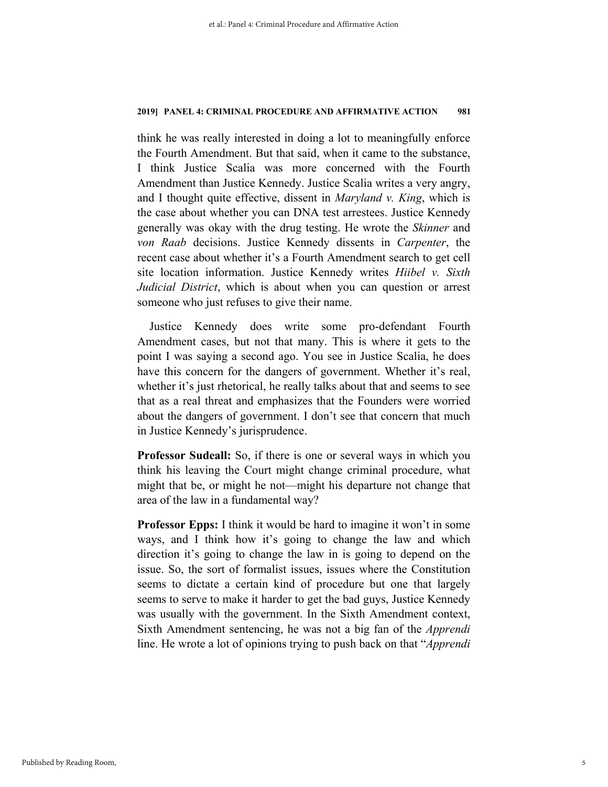think he was really interested in doing a lot to meaningfully enforce the Fourth Amendment. But that said, when it came to the substance, I think Justice Scalia was more concerned with the Fourth Amendment than Justice Kennedy. Justice Scalia writes a very angry, and I thought quite effective, dissent in *Maryland v. King*, which is the case about whether you can DNA test arrestees. Justice Kennedy generally was okay with the drug testing. He wrote the *Skinner* and *von Raab* decisions. Justice Kennedy dissents in *Carpenter*, the recent case about whether it's a Fourth Amendment search to get cell site location information. Justice Kennedy writes *Hiibel v. Sixth Judicial District*, which is about when you can question or arrest someone who just refuses to give their name.

Justice Kennedy does write some pro-defendant Fourth Amendment cases, but not that many. This is where it gets to the point I was saying a second ago. You see in Justice Scalia, he does have this concern for the dangers of government. Whether it's real, whether it's just rhetorical, he really talks about that and seems to see that as a real threat and emphasizes that the Founders were worried about the dangers of government. I don't see that concern that much in Justice Kennedy's jurisprudence.

**Professor Sudeall:** So, if there is one or several ways in which you think his leaving the Court might change criminal procedure, what might that be, or might he not—might his departure not change that area of the law in a fundamental way?

**Professor Epps:** I think it would be hard to imagine it won't in some ways, and I think how it's going to change the law and which direction it's going to change the law in is going to depend on the issue. So, the sort of formalist issues, issues where the Constitution seems to dictate a certain kind of procedure but one that largely seems to serve to make it harder to get the bad guys, Justice Kennedy was usually with the government. In the Sixth Amendment context, Sixth Amendment sentencing, he was not a big fan of the *Apprendi* line. He wrote a lot of opinions trying to push back on that "*Apprendi*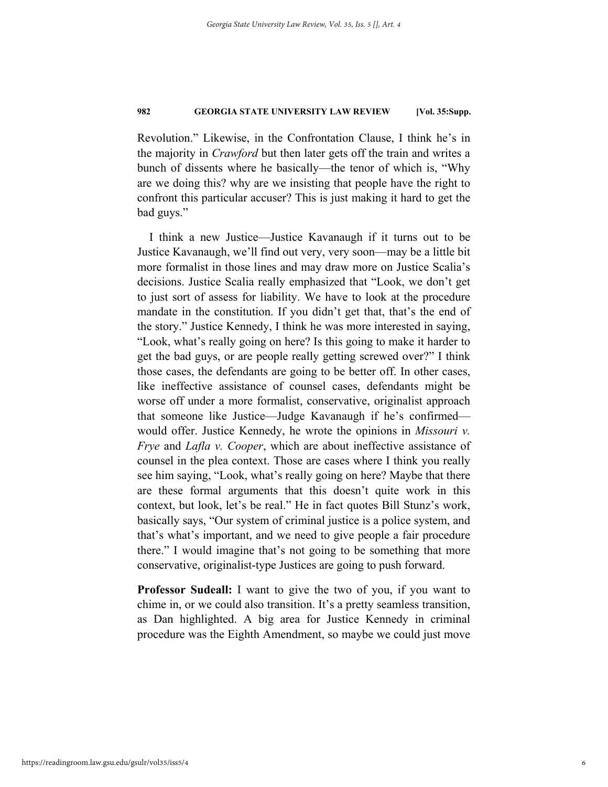Revolution." Likewise, in the Confrontation Clause, I think he's in the majority in *Crawford* but then later gets off the train and writes a bunch of dissents where he basically—the tenor of which is, "Why are we doing this? why are we insisting that people have the right to confront this particular accuser? This is just making it hard to get the bad guys."

I think a new Justice—Justice Kavanaugh if it turns out to be Justice Kavanaugh, we'll find out very, very soon—may be a little bit more formalist in those lines and may draw more on Justice Scalia's decisions. Justice Scalia really emphasized that "Look, we don't get to just sort of assess for liability. We have to look at the procedure mandate in the constitution. If you didn't get that, that's the end of the story." Justice Kennedy, I think he was more interested in saying, "Look, what's really going on here? Is this going to make it harder to get the bad guys, or are people really getting screwed over?" I think those cases, the defendants are going to be better off. In other cases, like ineffective assistance of counsel cases, defendants might be worse off under a more formalist, conservative, originalist approach that someone like Justice—Judge Kavanaugh if he's confirmed would offer. Justice Kennedy, he wrote the opinions in *Missouri v. Frye* and *Lafla v. Cooper*, which are about ineffective assistance of counsel in the plea context. Those are cases where I think you really see him saying, "Look, what's really going on here? Maybe that there are these formal arguments that this doesn't quite work in this context, but look, let's be real." He in fact quotes Bill Stunz's work, basically says, "Our system of criminal justice is a police system, and that's what's important, and we need to give people a fair procedure there." I would imagine that's not going to be something that more conservative, originalist-type Justices are going to push forward.

**Professor Sudeall:** I want to give the two of you, if you want to chime in, or we could also transition. It's a pretty seamless transition, as Dan highlighted. A big area for Justice Kennedy in criminal procedure was the Eighth Amendment, so maybe we could just move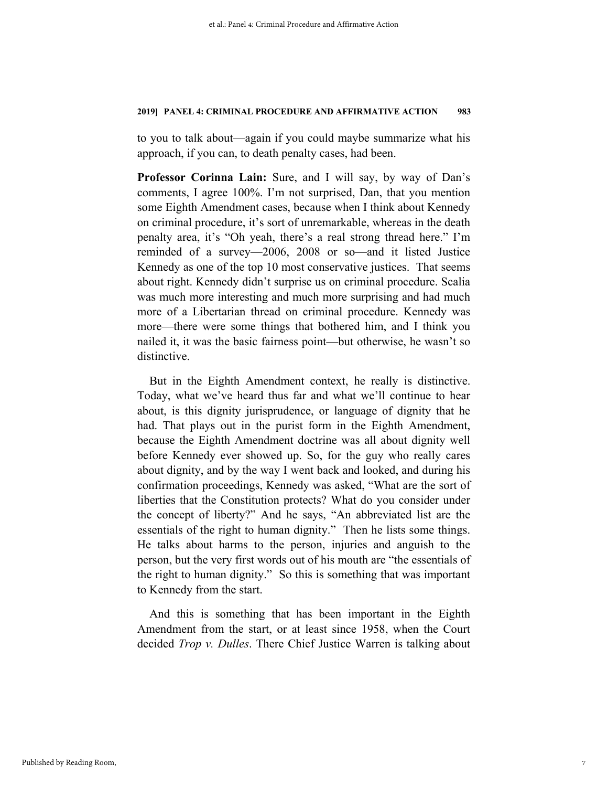to you to talk about—again if you could maybe summarize what his approach, if you can, to death penalty cases, had been.

**Professor Corinna Lain:** Sure, and I will say, by way of Dan's comments, I agree 100%. I'm not surprised, Dan, that you mention some Eighth Amendment cases, because when I think about Kennedy on criminal procedure, it's sort of unremarkable, whereas in the death penalty area, it's "Oh yeah, there's a real strong thread here." I'm reminded of a survey—2006, 2008 or so—and it listed Justice Kennedy as one of the top 10 most conservative justices. That seems about right. Kennedy didn't surprise us on criminal procedure. Scalia was much more interesting and much more surprising and had much more of a Libertarian thread on criminal procedure. Kennedy was more—there were some things that bothered him, and I think you nailed it, it was the basic fairness point—but otherwise, he wasn't so distinctive.

But in the Eighth Amendment context, he really is distinctive. Today, what we've heard thus far and what we'll continue to hear about, is this dignity jurisprudence, or language of dignity that he had. That plays out in the purist form in the Eighth Amendment, because the Eighth Amendment doctrine was all about dignity well before Kennedy ever showed up. So, for the guy who really cares about dignity, and by the way I went back and looked, and during his confirmation proceedings, Kennedy was asked, "What are the sort of liberties that the Constitution protects? What do you consider under the concept of liberty?" And he says, "An abbreviated list are the essentials of the right to human dignity." Then he lists some things. He talks about harms to the person, injuries and anguish to the person, but the very first words out of his mouth are "the essentials of the right to human dignity." So this is something that was important to Kennedy from the start.

And this is something that has been important in the Eighth Amendment from the start, or at least since 1958, when the Court decided *Trop v. Dulles*. There Chief Justice Warren is talking about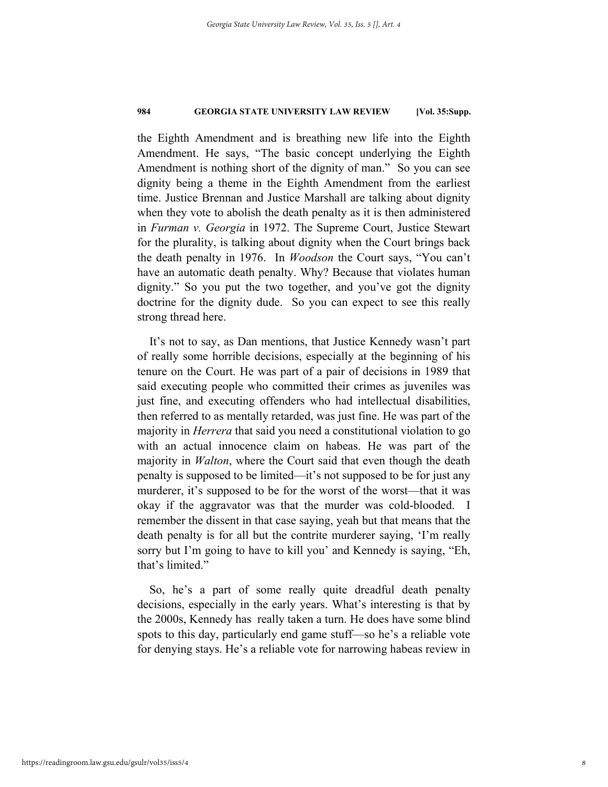the Eighth Amendment and is breathing new life into the Eighth Amendment. He says, "The basic concept underlying the Eighth Amendment is nothing short of the dignity of man." So you can see dignity being a theme in the Eighth Amendment from the earliest time. Justice Brennan and Justice Marshall are talking about dignity when they vote to abolish the death penalty as it is then administered in *Furman v. Georgia* in 1972. The Supreme Court, Justice Stewart for the plurality, is talking about dignity when the Court brings back the death penalty in 1976. In *Woodson* the Court says, "You can't have an automatic death penalty. Why? Because that violates human dignity." So you put the two together, and you've got the dignity doctrine for the dignity dude. So you can expect to see this really strong thread here.

It's not to say, as Dan mentions, that Justice Kennedy wasn't part of really some horrible decisions, especially at the beginning of his tenure on the Court. He was part of a pair of decisions in 1989 that said executing people who committed their crimes as juveniles was just fine, and executing offenders who had intellectual disabilities, then referred to as mentally retarded, was just fine. He was part of the majority in *Herrera* that said you need a constitutional violation to go with an actual innocence claim on habeas. He was part of the majority in *Walton*, where the Court said that even though the death penalty is supposed to be limited—it's not supposed to be for just any murderer, it's supposed to be for the worst of the worst—that it was okay if the aggravator was that the murder was cold-blooded. I remember the dissent in that case saying, yeah but that means that the death penalty is for all but the contrite murderer saying, 'I'm really sorry but I'm going to have to kill you' and Kennedy is saying, "Eh, that's limited."

So, he's a part of some really quite dreadful death penalty decisions, especially in the early years. What's interesting is that by the 2000s, Kennedy has really taken a turn. He does have some blind spots to this day, particularly end game stuff—so he's a reliable vote for denying stays. He's a reliable vote for narrowing habeas review in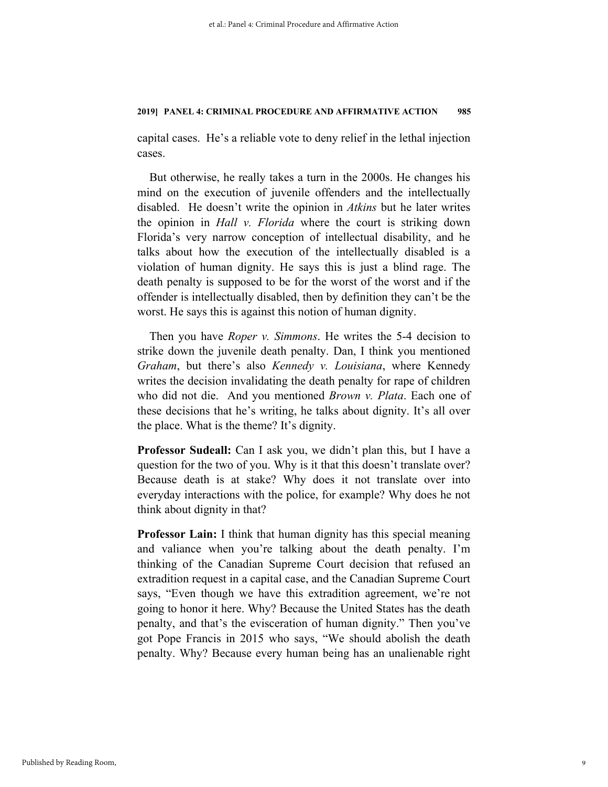capital cases. He's a reliable vote to deny relief in the lethal injection cases.

But otherwise, he really takes a turn in the 2000s. He changes his mind on the execution of juvenile offenders and the intellectually disabled. He doesn't write the opinion in *Atkins* but he later writes the opinion in *Hall v. Florida* where the court is striking down Florida's very narrow conception of intellectual disability, and he talks about how the execution of the intellectually disabled is a violation of human dignity. He says this is just a blind rage. The death penalty is supposed to be for the worst of the worst and if the offender is intellectually disabled, then by definition they can't be the worst. He says this is against this notion of human dignity.

Then you have *Roper v. Simmons*. He writes the 5-4 decision to strike down the juvenile death penalty. Dan, I think you mentioned *Graham*, but there's also *Kennedy v. Louisiana*, where Kennedy writes the decision invalidating the death penalty for rape of children who did not die. And you mentioned *Brown v. Plata*. Each one of these decisions that he's writing, he talks about dignity. It's all over the place. What is the theme? It's dignity.

**Professor Sudeall:** Can I ask you, we didn't plan this, but I have a question for the two of you. Why is it that this doesn't translate over? Because death is at stake? Why does it not translate over into everyday interactions with the police, for example? Why does he not think about dignity in that?

**Professor Lain:** I think that human dignity has this special meaning and valiance when you're talking about the death penalty. I'm thinking of the Canadian Supreme Court decision that refused an extradition request in a capital case, and the Canadian Supreme Court says, "Even though we have this extradition agreement, we're not going to honor it here. Why? Because the United States has the death penalty, and that's the evisceration of human dignity." Then you've got Pope Francis in 2015 who says, "We should abolish the death penalty. Why? Because every human being has an unalienable right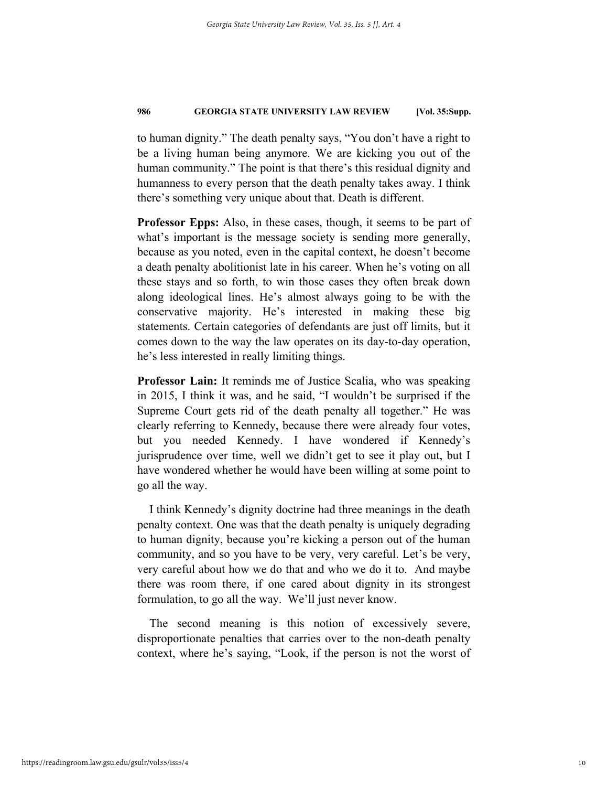to human dignity." The death penalty says, "You don't have a right to be a living human being anymore. We are kicking you out of the human community." The point is that there's this residual dignity and humanness to every person that the death penalty takes away. I think there's something very unique about that. Death is different.

**Professor Epps:** Also, in these cases, though, it seems to be part of what's important is the message society is sending more generally, because as you noted, even in the capital context, he doesn't become a death penalty abolitionist late in his career. When he's voting on all these stays and so forth, to win those cases they often break down along ideological lines. He's almost always going to be with the conservative majority. He's interested in making these big statements. Certain categories of defendants are just off limits, but it comes down to the way the law operates on its day-to-day operation, he's less interested in really limiting things.

**Professor Lain:** It reminds me of Justice Scalia, who was speaking in 2015, I think it was, and he said, "I wouldn't be surprised if the Supreme Court gets rid of the death penalty all together." He was clearly referring to Kennedy, because there were already four votes, but you needed Kennedy. I have wondered if Kennedy's jurisprudence over time, well we didn't get to see it play out, but I have wondered whether he would have been willing at some point to go all the way.

I think Kennedy's dignity doctrine had three meanings in the death penalty context. One was that the death penalty is uniquely degrading to human dignity, because you're kicking a person out of the human community, and so you have to be very, very careful. Let's be very, very careful about how we do that and who we do it to. And maybe there was room there, if one cared about dignity in its strongest formulation, to go all the way. We'll just never know.

The second meaning is this notion of excessively severe, disproportionate penalties that carries over to the non-death penalty context, where he's saying, "Look, if the person is not the worst of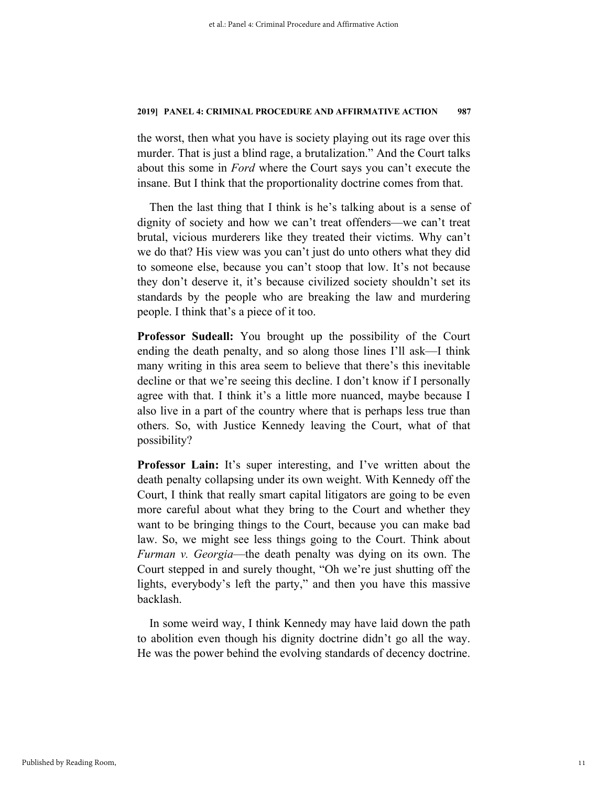the worst, then what you have is society playing out its rage over this murder. That is just a blind rage, a brutalization." And the Court talks about this some in *Ford* where the Court says you can't execute the insane. But I think that the proportionality doctrine comes from that.

Then the last thing that I think is he's talking about is a sense of dignity of society and how we can't treat offenders—we can't treat brutal, vicious murderers like they treated their victims. Why can't we do that? His view was you can't just do unto others what they did to someone else, because you can't stoop that low. It's not because they don't deserve it, it's because civilized society shouldn't set its standards by the people who are breaking the law and murdering people. I think that's a piece of it too.

**Professor Sudeall:** You brought up the possibility of the Court ending the death penalty, and so along those lines I'll ask—I think many writing in this area seem to believe that there's this inevitable decline or that we're seeing this decline. I don't know if I personally agree with that. I think it's a little more nuanced, maybe because I also live in a part of the country where that is perhaps less true than others. So, with Justice Kennedy leaving the Court, what of that possibility?

**Professor Lain:** It's super interesting, and I've written about the death penalty collapsing under its own weight. With Kennedy off the Court, I think that really smart capital litigators are going to be even more careful about what they bring to the Court and whether they want to be bringing things to the Court, because you can make bad law. So, we might see less things going to the Court. Think about *Furman v. Georgia*—the death penalty was dying on its own. The Court stepped in and surely thought, "Oh we're just shutting off the lights, everybody's left the party," and then you have this massive backlash.

In some weird way, I think Kennedy may have laid down the path to abolition even though his dignity doctrine didn't go all the way. He was the power behind the evolving standards of decency doctrine.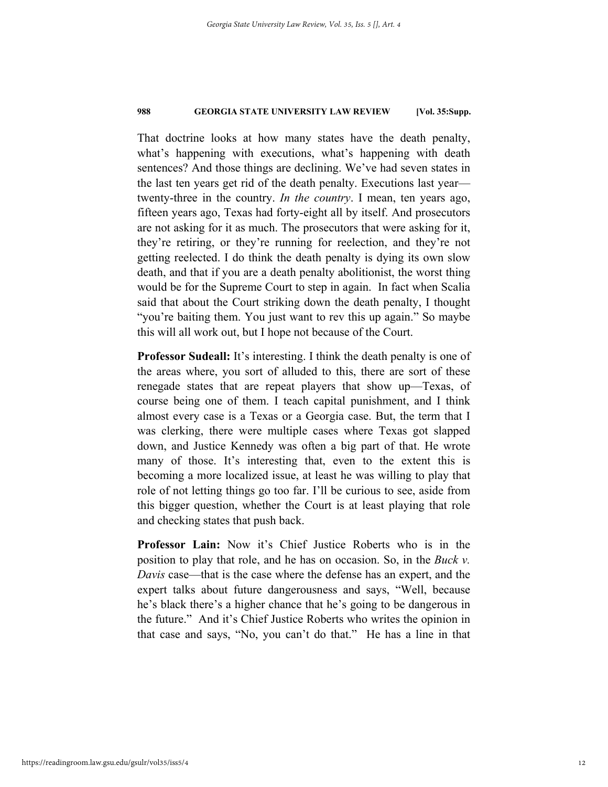That doctrine looks at how many states have the death penalty, what's happening with executions, what's happening with death sentences? And those things are declining. We've had seven states in the last ten years get rid of the death penalty. Executions last year twenty-three in the country. *In the country*. I mean, ten years ago, fifteen years ago, Texas had forty-eight all by itself. And prosecutors are not asking for it as much. The prosecutors that were asking for it, they're retiring, or they're running for reelection, and they're not getting reelected. I do think the death penalty is dying its own slow death, and that if you are a death penalty abolitionist, the worst thing would be for the Supreme Court to step in again. In fact when Scalia said that about the Court striking down the death penalty, I thought "you're baiting them. You just want to rev this up again." So maybe this will all work out, but I hope not because of the Court.

**Professor Sudeall:** It's interesting. I think the death penalty is one of the areas where, you sort of alluded to this, there are sort of these renegade states that are repeat players that show up—Texas, of course being one of them. I teach capital punishment, and I think almost every case is a Texas or a Georgia case. But, the term that I was clerking, there were multiple cases where Texas got slapped down, and Justice Kennedy was often a big part of that. He wrote many of those. It's interesting that, even to the extent this is becoming a more localized issue, at least he was willing to play that role of not letting things go too far. I'll be curious to see, aside from this bigger question, whether the Court is at least playing that role and checking states that push back.

**Professor Lain:** Now it's Chief Justice Roberts who is in the position to play that role, and he has on occasion. So, in the *Buck v. Davis* case—that is the case where the defense has an expert, and the expert talks about future dangerousness and says, "Well, because he's black there's a higher chance that he's going to be dangerous in the future." And it's Chief Justice Roberts who writes the opinion in that case and says, "No, you can't do that." He has a line in that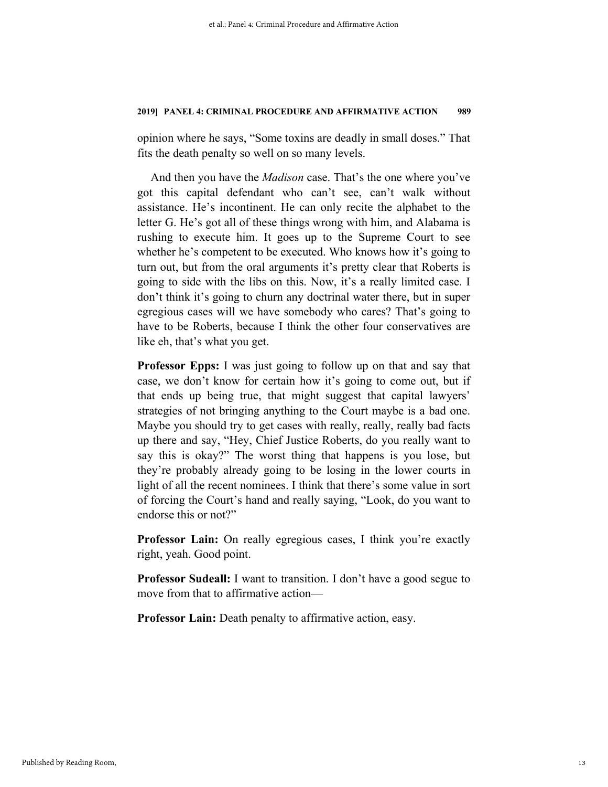opinion where he says, "Some toxins are deadly in small doses." That fits the death penalty so well on so many levels.

And then you have the *Madison* case. That's the one where you've got this capital defendant who can't see, can't walk without assistance. He's incontinent. He can only recite the alphabet to the letter G. He's got all of these things wrong with him, and Alabama is rushing to execute him. It goes up to the Supreme Court to see whether he's competent to be executed. Who knows how it's going to turn out, but from the oral arguments it's pretty clear that Roberts is going to side with the libs on this. Now, it's a really limited case. I don't think it's going to churn any doctrinal water there, but in super egregious cases will we have somebody who cares? That's going to have to be Roberts, because I think the other four conservatives are like eh, that's what you get.

**Professor Epps:** I was just going to follow up on that and say that case, we don't know for certain how it's going to come out, but if that ends up being true, that might suggest that capital lawyers' strategies of not bringing anything to the Court maybe is a bad one. Maybe you should try to get cases with really, really, really bad facts up there and say, "Hey, Chief Justice Roberts, do you really want to say this is okay?" The worst thing that happens is you lose, but they're probably already going to be losing in the lower courts in light of all the recent nominees. I think that there's some value in sort of forcing the Court's hand and really saying, "Look, do you want to endorse this or not?"

**Professor Lain:** On really egregious cases, I think you're exactly right, yeah. Good point.

**Professor Sudeall:** I want to transition. I don't have a good segue to move from that to affirmative action—

**Professor Lain:** Death penalty to affirmative action, easy.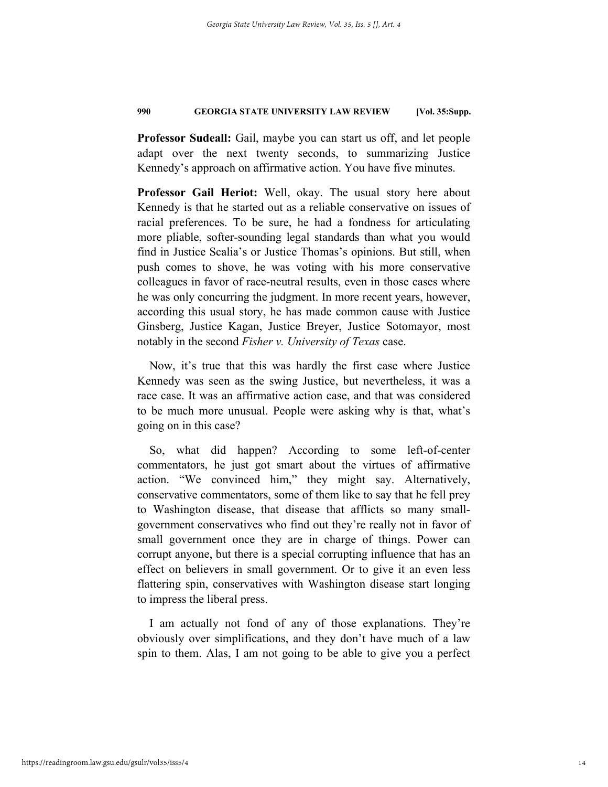**Professor Sudeall:** Gail, maybe you can start us off, and let people adapt over the next twenty seconds, to summarizing Justice Kennedy's approach on affirmative action. You have five minutes.

**Professor Gail Heriot:** Well, okay. The usual story here about Kennedy is that he started out as a reliable conservative on issues of racial preferences. To be sure, he had a fondness for articulating more pliable, softer-sounding legal standards than what you would find in Justice Scalia's or Justice Thomas's opinions. But still, when push comes to shove, he was voting with his more conservative colleagues in favor of race-neutral results, even in those cases where he was only concurring the judgment. In more recent years, however, according this usual story, he has made common cause with Justice Ginsberg, Justice Kagan, Justice Breyer, Justice Sotomayor, most notably in the second *Fisher v. University of Texas* case.

Now, it's true that this was hardly the first case where Justice Kennedy was seen as the swing Justice, but nevertheless, it was a race case. It was an affirmative action case, and that was considered to be much more unusual. People were asking why is that, what's going on in this case?

So, what did happen? According to some left-of-center commentators, he just got smart about the virtues of affirmative action. "We convinced him," they might say. Alternatively, conservative commentators, some of them like to say that he fell prey to Washington disease, that disease that afflicts so many smallgovernment conservatives who find out they're really not in favor of small government once they are in charge of things. Power can corrupt anyone, but there is a special corrupting influence that has an effect on believers in small government. Or to give it an even less flattering spin, conservatives with Washington disease start longing to impress the liberal press.

I am actually not fond of any of those explanations. They're obviously over simplifications, and they don't have much of a law spin to them. Alas, I am not going to be able to give you a perfect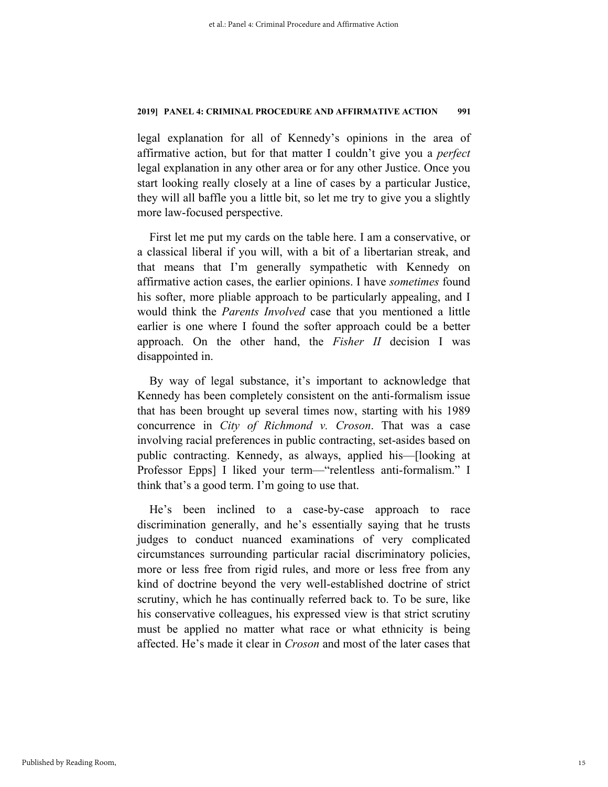legal explanation for all of Kennedy's opinions in the area of affirmative action, but for that matter I couldn't give you a *perfect* legal explanation in any other area or for any other Justice. Once you start looking really closely at a line of cases by a particular Justice, they will all baffle you a little bit, so let me try to give you a slightly more law-focused perspective.

First let me put my cards on the table here. I am a conservative, or a classical liberal if you will, with a bit of a libertarian streak, and that means that I'm generally sympathetic with Kennedy on affirmative action cases, the earlier opinions. I have *sometimes* found his softer, more pliable approach to be particularly appealing, and I would think the *Parents Involved* case that you mentioned a little earlier is one where I found the softer approach could be a better approach. On the other hand, the *Fisher II* decision I was disappointed in.

By way of legal substance, it's important to acknowledge that Kennedy has been completely consistent on the anti-formalism issue that has been brought up several times now, starting with his 1989 concurrence in *City of Richmond v. Croson*. That was a case involving racial preferences in public contracting, set-asides based on public contracting. Kennedy, as always, applied his—[looking at Professor Epps] I liked your term—"relentless anti-formalism." I think that's a good term. I'm going to use that.

He's been inclined to a case-by-case approach to race discrimination generally, and he's essentially saying that he trusts judges to conduct nuanced examinations of very complicated circumstances surrounding particular racial discriminatory policies, more or less free from rigid rules, and more or less free from any kind of doctrine beyond the very well-established doctrine of strict scrutiny, which he has continually referred back to. To be sure, like his conservative colleagues, his expressed view is that strict scrutiny must be applied no matter what race or what ethnicity is being affected. He's made it clear in *Croson* and most of the later cases that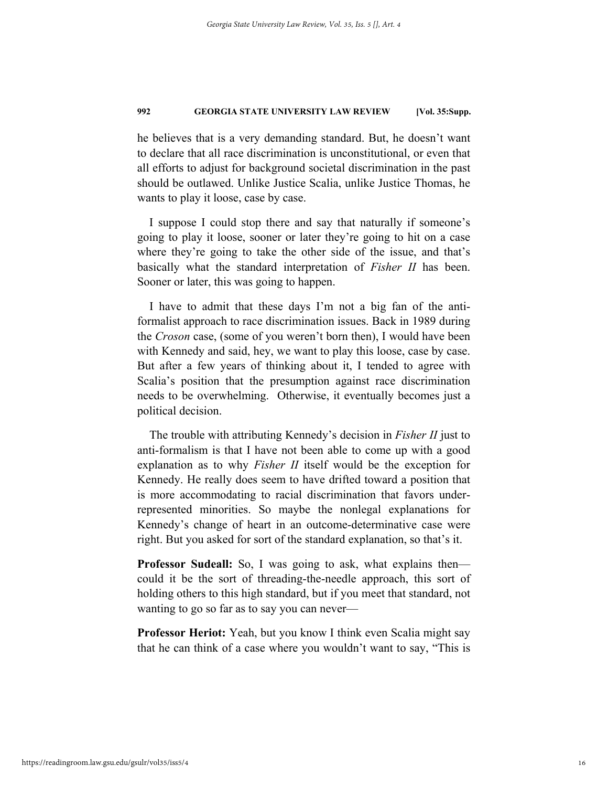he believes that is a very demanding standard. But, he doesn't want to declare that all race discrimination is unconstitutional, or even that all efforts to adjust for background societal discrimination in the past should be outlawed. Unlike Justice Scalia, unlike Justice Thomas, he wants to play it loose, case by case.

I suppose I could stop there and say that naturally if someone's going to play it loose, sooner or later they're going to hit on a case where they're going to take the other side of the issue, and that's basically what the standard interpretation of *Fisher II* has been. Sooner or later, this was going to happen.

I have to admit that these days I'm not a big fan of the antiformalist approach to race discrimination issues. Back in 1989 during the *Croson* case, (some of you weren't born then), I would have been with Kennedy and said, hey, we want to play this loose, case by case. But after a few years of thinking about it, I tended to agree with Scalia's position that the presumption against race discrimination needs to be overwhelming. Otherwise, it eventually becomes just a political decision.

The trouble with attributing Kennedy's decision in *Fisher II* just to anti-formalism is that I have not been able to come up with a good explanation as to why *Fisher II* itself would be the exception for Kennedy. He really does seem to have drifted toward a position that is more accommodating to racial discrimination that favors underrepresented minorities. So maybe the nonlegal explanations for Kennedy's change of heart in an outcome-determinative case were right. But you asked for sort of the standard explanation, so that's it.

**Professor Sudeall:** So, I was going to ask, what explains then could it be the sort of threading-the-needle approach, this sort of holding others to this high standard, but if you meet that standard, not wanting to go so far as to say you can never—

**Professor Heriot:** Yeah, but you know I think even Scalia might say that he can think of a case where you wouldn't want to say, "This is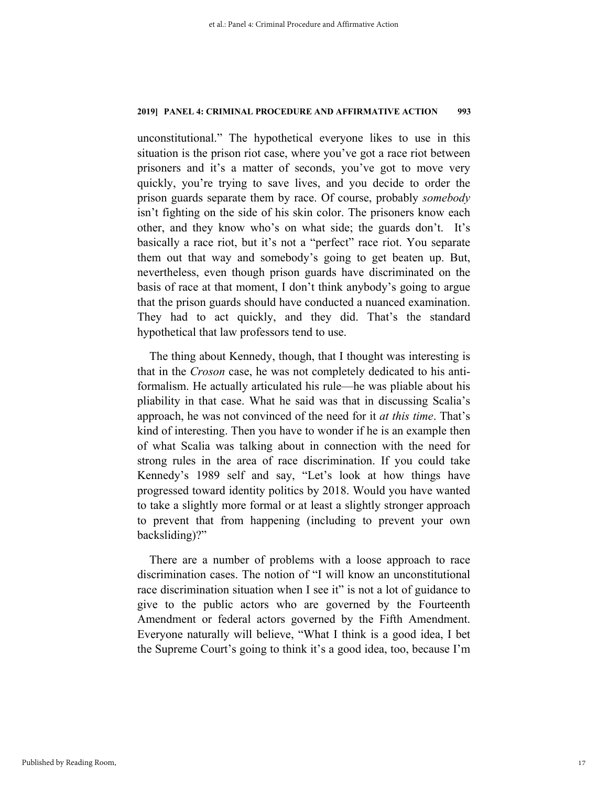unconstitutional." The hypothetical everyone likes to use in this situation is the prison riot case, where you've got a race riot between prisoners and it's a matter of seconds, you've got to move very quickly, you're trying to save lives, and you decide to order the prison guards separate them by race. Of course, probably *somebody* isn't fighting on the side of his skin color. The prisoners know each other, and they know who's on what side; the guards don't. It's basically a race riot, but it's not a "perfect" race riot. You separate them out that way and somebody's going to get beaten up. But, nevertheless, even though prison guards have discriminated on the basis of race at that moment, I don't think anybody's going to argue that the prison guards should have conducted a nuanced examination. They had to act quickly, and they did. That's the standard hypothetical that law professors tend to use.

The thing about Kennedy, though, that I thought was interesting is that in the *Croson* case, he was not completely dedicated to his antiformalism. He actually articulated his rule—he was pliable about his pliability in that case. What he said was that in discussing Scalia's approach, he was not convinced of the need for it *at this time*. That's kind of interesting. Then you have to wonder if he is an example then of what Scalia was talking about in connection with the need for strong rules in the area of race discrimination. If you could take Kennedy's 1989 self and say, "Let's look at how things have progressed toward identity politics by 2018. Would you have wanted to take a slightly more formal or at least a slightly stronger approach to prevent that from happening (including to prevent your own backsliding)?"

There are a number of problems with a loose approach to race discrimination cases. The notion of "I will know an unconstitutional race discrimination situation when I see it" is not a lot of guidance to give to the public actors who are governed by the Fourteenth Amendment or federal actors governed by the Fifth Amendment. Everyone naturally will believe, "What I think is a good idea, I bet the Supreme Court's going to think it's a good idea, too, because I'm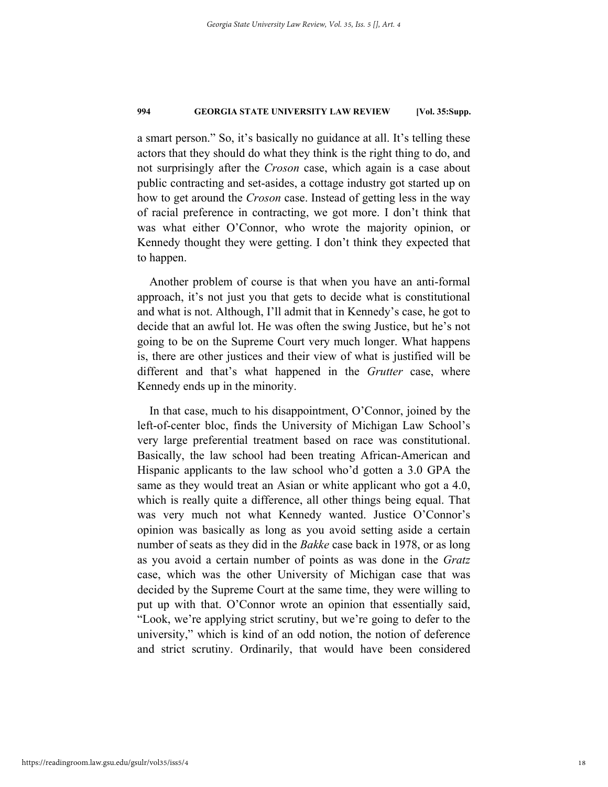a smart person." So, it's basically no guidance at all. It's telling these actors that they should do what they think is the right thing to do, and not surprisingly after the *Croson* case, which again is a case about public contracting and set-asides, a cottage industry got started up on how to get around the *Croson* case. Instead of getting less in the way of racial preference in contracting, we got more. I don't think that was what either O'Connor, who wrote the majority opinion, or Kennedy thought they were getting. I don't think they expected that to happen.

Another problem of course is that when you have an anti-formal approach, it's not just you that gets to decide what is constitutional and what is not. Although, I'll admit that in Kennedy's case, he got to decide that an awful lot. He was often the swing Justice, but he's not going to be on the Supreme Court very much longer. What happens is, there are other justices and their view of what is justified will be different and that's what happened in the *Grutter* case, where Kennedy ends up in the minority.

In that case, much to his disappointment, O'Connor, joined by the left-of-center bloc, finds the University of Michigan Law School's very large preferential treatment based on race was constitutional. Basically, the law school had been treating African-American and Hispanic applicants to the law school who'd gotten a 3.0 GPA the same as they would treat an Asian or white applicant who got a 4.0, which is really quite a difference, all other things being equal. That was very much not what Kennedy wanted. Justice O'Connor's opinion was basically as long as you avoid setting aside a certain number of seats as they did in the *Bakke* case back in 1978, or as long as you avoid a certain number of points as was done in the *Gratz* case, which was the other University of Michigan case that was decided by the Supreme Court at the same time, they were willing to put up with that. O'Connor wrote an opinion that essentially said, "Look, we're applying strict scrutiny, but we're going to defer to the university," which is kind of an odd notion, the notion of deference and strict scrutiny. Ordinarily, that would have been considered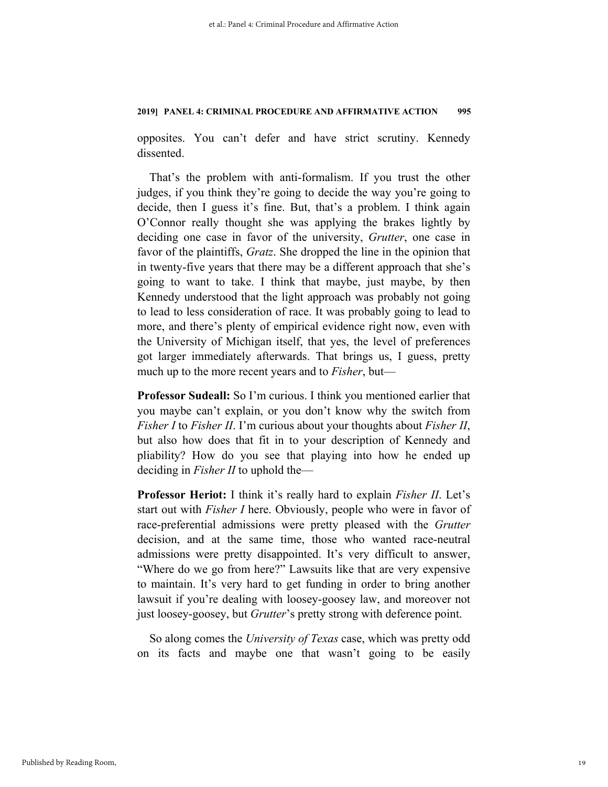opposites. You can't defer and have strict scrutiny. Kennedy dissented.

That's the problem with anti-formalism. If you trust the other judges, if you think they're going to decide the way you're going to decide, then I guess it's fine. But, that's a problem. I think again O'Connor really thought she was applying the brakes lightly by deciding one case in favor of the university, *Grutter*, one case in favor of the plaintiffs, *Gratz*. She dropped the line in the opinion that in twenty-five years that there may be a different approach that she's going to want to take. I think that maybe, just maybe, by then Kennedy understood that the light approach was probably not going to lead to less consideration of race. It was probably going to lead to more, and there's plenty of empirical evidence right now, even with the University of Michigan itself, that yes, the level of preferences got larger immediately afterwards. That brings us, I guess, pretty much up to the more recent years and to *Fisher*, but—

**Professor Sudeall:** So I'm curious. I think you mentioned earlier that you maybe can't explain, or you don't know why the switch from *Fisher I* to *Fisher II*. I'm curious about your thoughts about *Fisher II*, but also how does that fit in to your description of Kennedy and pliability? How do you see that playing into how he ended up deciding in *Fisher II* to uphold the—

**Professor Heriot:** I think it's really hard to explain *Fisher II*. Let's start out with *Fisher I* here. Obviously, people who were in favor of race-preferential admissions were pretty pleased with the *Grutter* decision, and at the same time, those who wanted race-neutral admissions were pretty disappointed. It's very difficult to answer, "Where do we go from here?" Lawsuits like that are very expensive to maintain. It's very hard to get funding in order to bring another lawsuit if you're dealing with loosey-goosey law, and moreover not just loosey-goosey, but *Grutter*'s pretty strong with deference point.

So along comes the *University of Texas* case, which was pretty odd on its facts and maybe one that wasn't going to be easily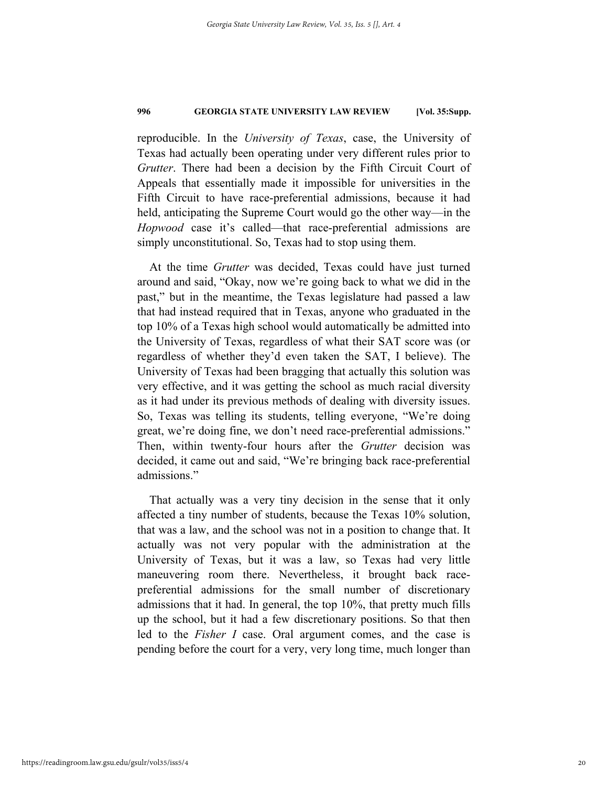reproducible. In the *University of Texas*, case, the University of Texas had actually been operating under very different rules prior to *Grutter*. There had been a decision by the Fifth Circuit Court of Appeals that essentially made it impossible for universities in the Fifth Circuit to have race-preferential admissions, because it had held, anticipating the Supreme Court would go the other way—in the *Hopwood* case it's called—that race-preferential admissions are simply unconstitutional. So, Texas had to stop using them.

At the time *Grutter* was decided, Texas could have just turned around and said, "Okay, now we're going back to what we did in the past," but in the meantime, the Texas legislature had passed a law that had instead required that in Texas, anyone who graduated in the top 10% of a Texas high school would automatically be admitted into the University of Texas, regardless of what their SAT score was (or regardless of whether they'd even taken the SAT, I believe). The University of Texas had been bragging that actually this solution was very effective, and it was getting the school as much racial diversity as it had under its previous methods of dealing with diversity issues. So, Texas was telling its students, telling everyone, "We're doing great, we're doing fine, we don't need race-preferential admissions." Then, within twenty-four hours after the *Grutter* decision was decided, it came out and said, "We're bringing back race-preferential admissions."

That actually was a very tiny decision in the sense that it only affected a tiny number of students, because the Texas 10% solution, that was a law, and the school was not in a position to change that. It actually was not very popular with the administration at the University of Texas, but it was a law, so Texas had very little maneuvering room there. Nevertheless, it brought back racepreferential admissions for the small number of discretionary admissions that it had. In general, the top 10%, that pretty much fills up the school, but it had a few discretionary positions. So that then led to the *Fisher I* case. Oral argument comes, and the case is pending before the court for a very, very long time, much longer than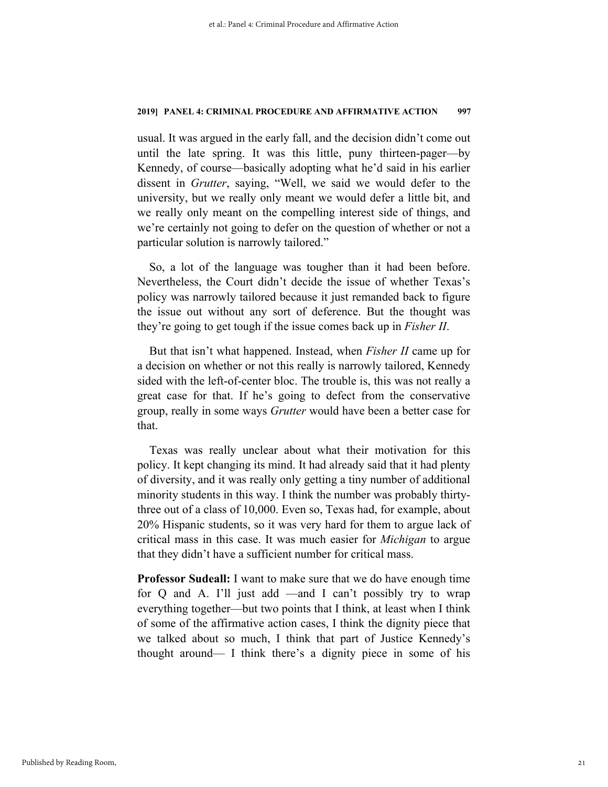usual. It was argued in the early fall, and the decision didn't come out until the late spring. It was this little, puny thirteen-pager—by Kennedy, of course—basically adopting what he'd said in his earlier dissent in *Grutter*, saying, "Well, we said we would defer to the university, but we really only meant we would defer a little bit, and we really only meant on the compelling interest side of things, and we're certainly not going to defer on the question of whether or not a particular solution is narrowly tailored."

So, a lot of the language was tougher than it had been before. Nevertheless, the Court didn't decide the issue of whether Texas's policy was narrowly tailored because it just remanded back to figure the issue out without any sort of deference. But the thought was they're going to get tough if the issue comes back up in *Fisher II*.

But that isn't what happened. Instead, when *Fisher II* came up for a decision on whether or not this really is narrowly tailored, Kennedy sided with the left-of-center bloc. The trouble is, this was not really a great case for that. If he's going to defect from the conservative group, really in some ways *Grutter* would have been a better case for that.

Texas was really unclear about what their motivation for this policy. It kept changing its mind. It had already said that it had plenty of diversity, and it was really only getting a tiny number of additional minority students in this way. I think the number was probably thirtythree out of a class of 10,000. Even so, Texas had, for example, about 20% Hispanic students, so it was very hard for them to argue lack of critical mass in this case. It was much easier for *Michigan* to argue that they didn't have a sufficient number for critical mass.

**Professor Sudeall:** I want to make sure that we do have enough time for Q and A. I'll just add —and I can't possibly try to wrap everything together—but two points that I think, at least when I think of some of the affirmative action cases, I think the dignity piece that we talked about so much, I think that part of Justice Kennedy's thought around— I think there's a dignity piece in some of his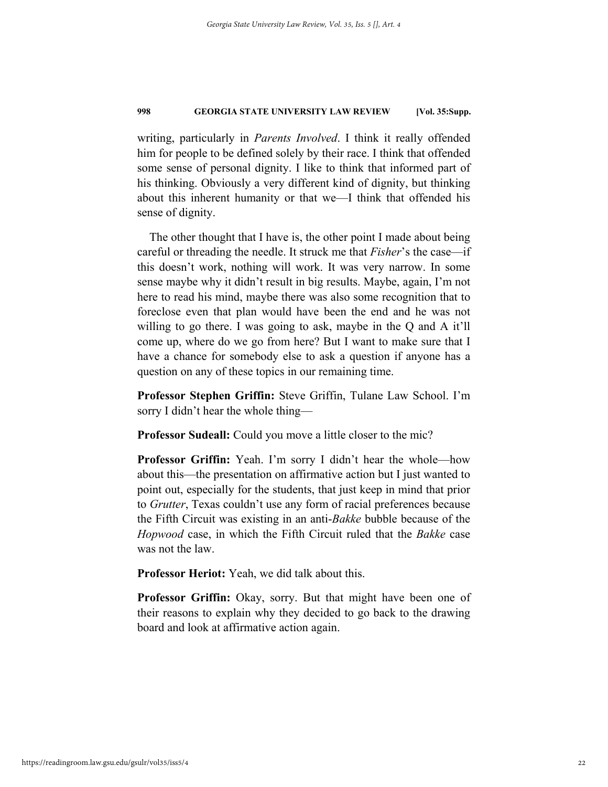writing, particularly in *Parents Involved*. I think it really offended him for people to be defined solely by their race. I think that offended some sense of personal dignity. I like to think that informed part of his thinking. Obviously a very different kind of dignity, but thinking about this inherent humanity or that we—I think that offended his sense of dignity.

The other thought that I have is, the other point I made about being careful or threading the needle. It struck me that *Fisher*'s the case—if this doesn't work, nothing will work. It was very narrow. In some sense maybe why it didn't result in big results. Maybe, again, I'm not here to read his mind, maybe there was also some recognition that to foreclose even that plan would have been the end and he was not willing to go there. I was going to ask, maybe in the Q and A it'll come up, where do we go from here? But I want to make sure that I have a chance for somebody else to ask a question if anyone has a question on any of these topics in our remaining time.

**Professor Stephen Griffin:** Steve Griffin, Tulane Law School. I'm sorry I didn't hear the whole thing—

**Professor Sudeall:** Could you move a little closer to the mic?

**Professor Griffin:** Yeah. I'm sorry I didn't hear the whole—how about this—the presentation on affirmative action but I just wanted to point out, especially for the students, that just keep in mind that prior to *Grutter*, Texas couldn't use any form of racial preferences because the Fifth Circuit was existing in an anti-*Bakke* bubble because of the *Hopwood* case, in which the Fifth Circuit ruled that the *Bakke* case was not the law.

**Professor Heriot:** Yeah, we did talk about this.

**Professor Griffin:** Okay, sorry. But that might have been one of their reasons to explain why they decided to go back to the drawing board and look at affirmative action again.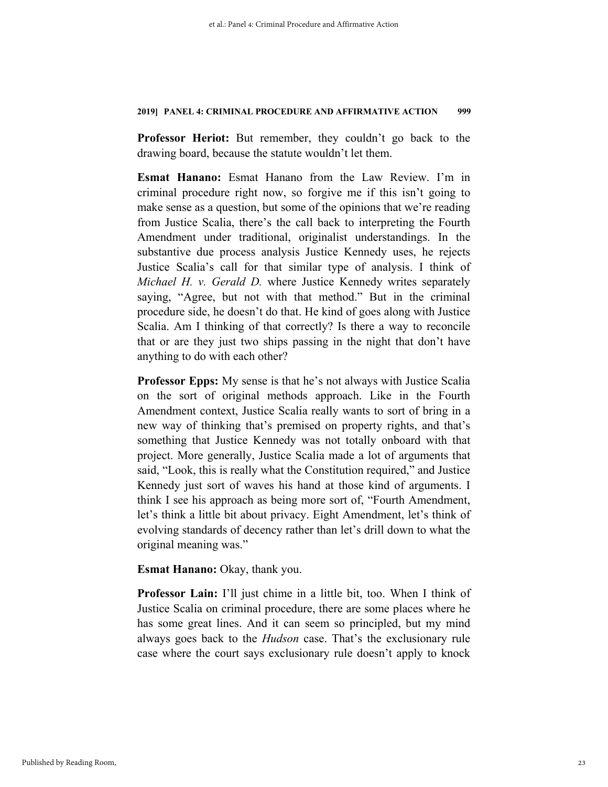**Professor Heriot:** But remember, they couldn't go back to the drawing board, because the statute wouldn't let them.

**Esmat Hanano:** Esmat Hanano from the Law Review. I'm in criminal procedure right now, so forgive me if this isn't going to make sense as a question, but some of the opinions that we're reading from Justice Scalia, there's the call back to interpreting the Fourth Amendment under traditional, originalist understandings. In the substantive due process analysis Justice Kennedy uses, he rejects Justice Scalia's call for that similar type of analysis. I think of *Michael H. v. Gerald D.* where Justice Kennedy writes separately saying, "Agree, but not with that method." But in the criminal procedure side, he doesn't do that. He kind of goes along with Justice Scalia. Am I thinking of that correctly? Is there a way to reconcile that or are they just two ships passing in the night that don't have anything to do with each other?

**Professor Epps:** My sense is that he's not always with Justice Scalia on the sort of original methods approach. Like in the Fourth Amendment context, Justice Scalia really wants to sort of bring in a new way of thinking that's premised on property rights, and that's something that Justice Kennedy was not totally onboard with that project. More generally, Justice Scalia made a lot of arguments that said, "Look, this is really what the Constitution required," and Justice Kennedy just sort of waves his hand at those kind of arguments. I think I see his approach as being more sort of, "Fourth Amendment, let's think a little bit about privacy. Eight Amendment, let's think of evolving standards of decency rather than let's drill down to what the original meaning was."

**Esmat Hanano:** Okay, thank you.

**Professor Lain:** I'll just chime in a little bit, too. When I think of Justice Scalia on criminal procedure, there are some places where he has some great lines. And it can seem so principled, but my mind always goes back to the *Hudson* case. That's the exclusionary rule case where the court says exclusionary rule doesn't apply to knock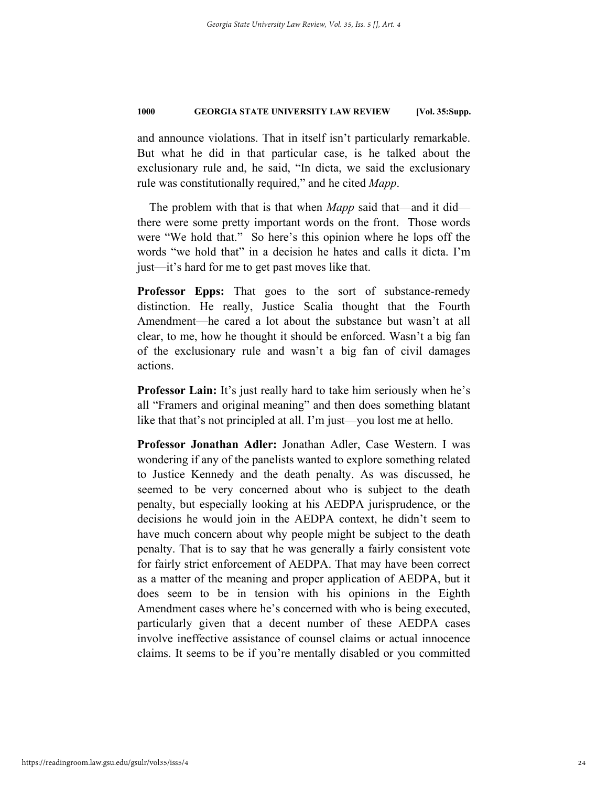and announce violations. That in itself isn't particularly remarkable. But what he did in that particular case, is he talked about the exclusionary rule and, he said, "In dicta, we said the exclusionary rule was constitutionally required," and he cited *Mapp*.

The problem with that is that when *Mapp* said that—and it did there were some pretty important words on the front. Those words were "We hold that." So here's this opinion where he lops off the words "we hold that" in a decision he hates and calls it dicta. I'm just—it's hard for me to get past moves like that.

**Professor Epps:** That goes to the sort of substance-remedy distinction. He really, Justice Scalia thought that the Fourth Amendment—he cared a lot about the substance but wasn't at all clear, to me, how he thought it should be enforced. Wasn't a big fan of the exclusionary rule and wasn't a big fan of civil damages actions.

**Professor Lain:** It's just really hard to take him seriously when he's all "Framers and original meaning" and then does something blatant like that that's not principled at all. I'm just—you lost me at hello.

**Professor Jonathan Adler:** Jonathan Adler, Case Western. I was wondering if any of the panelists wanted to explore something related to Justice Kennedy and the death penalty. As was discussed, he seemed to be very concerned about who is subject to the death penalty, but especially looking at his AEDPA jurisprudence, or the decisions he would join in the AEDPA context, he didn't seem to have much concern about why people might be subject to the death penalty. That is to say that he was generally a fairly consistent vote for fairly strict enforcement of AEDPA. That may have been correct as a matter of the meaning and proper application of AEDPA, but it does seem to be in tension with his opinions in the Eighth Amendment cases where he's concerned with who is being executed, particularly given that a decent number of these AEDPA cases involve ineffective assistance of counsel claims or actual innocence claims. It seems to be if you're mentally disabled or you committed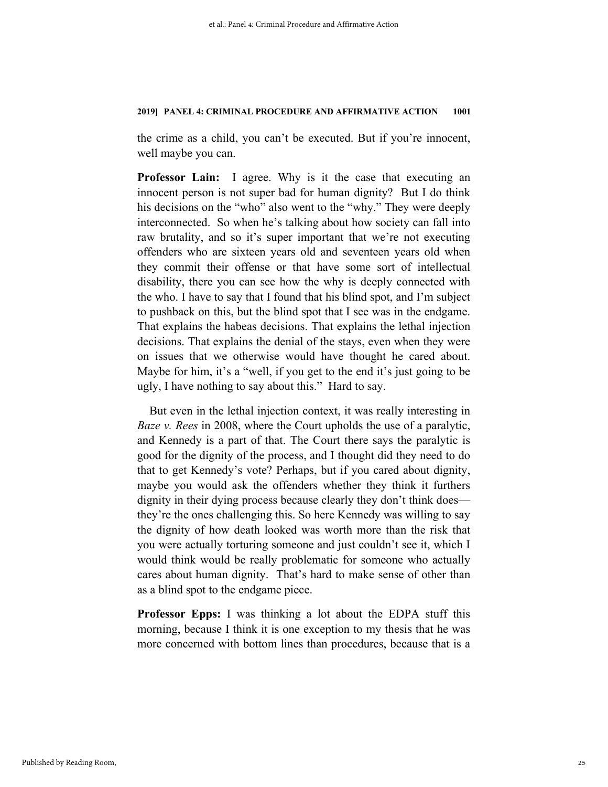the crime as a child, you can't be executed. But if you're innocent, well maybe you can.

**Professor Lain:** I agree. Why is it the case that executing an innocent person is not super bad for human dignity? But I do think his decisions on the "who" also went to the "why." They were deeply interconnected. So when he's talking about how society can fall into raw brutality, and so it's super important that we're not executing offenders who are sixteen years old and seventeen years old when they commit their offense or that have some sort of intellectual disability, there you can see how the why is deeply connected with the who. I have to say that I found that his blind spot, and I'm subject to pushback on this, but the blind spot that I see was in the endgame. That explains the habeas decisions. That explains the lethal injection decisions. That explains the denial of the stays, even when they were on issues that we otherwise would have thought he cared about. Maybe for him, it's a "well, if you get to the end it's just going to be ugly, I have nothing to say about this." Hard to say.

But even in the lethal injection context, it was really interesting in *Baze v. Rees* in 2008, where the Court upholds the use of a paralytic, and Kennedy is a part of that. The Court there says the paralytic is good for the dignity of the process, and I thought did they need to do that to get Kennedy's vote? Perhaps, but if you cared about dignity, maybe you would ask the offenders whether they think it furthers dignity in their dying process because clearly they don't think does they're the ones challenging this. So here Kennedy was willing to say the dignity of how death looked was worth more than the risk that you were actually torturing someone and just couldn't see it, which I would think would be really problematic for someone who actually cares about human dignity. That's hard to make sense of other than as a blind spot to the endgame piece.

**Professor Epps:** I was thinking a lot about the EDPA stuff this morning, because I think it is one exception to my thesis that he was more concerned with bottom lines than procedures, because that is a